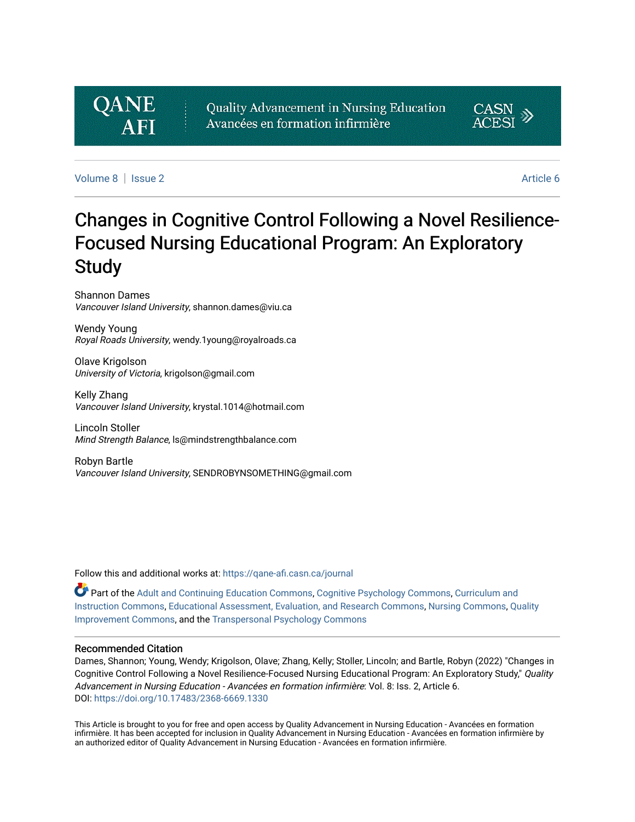# **QANE**

Quality Advancement in Nursing Education Avancées en formation infirmière



[Volume 8](https://qane-afi.casn.ca/journal/vol8) [Issue 2](https://qane-afi.casn.ca/journal/vol8/iss2) [Article 6](https://qane-afi.casn.ca/journal/vol8/iss2/6) 

# Changes in Cognitive Control Following a Novel Resilience-Focused Nursing Educational Program: An Exploratory **Study**

Shannon Dames Vancouver Island University, shannon.dames@viu.ca

Wendy Young Royal Roads University, wendy.1young@royalroads.ca

Olave Krigolson University of Victoria, krigolson@gmail.com

Kelly Zhang Vancouver Island University, krystal.1014@hotmail.com

Lincoln Stoller Mind Strength Balance, ls@mindstrengthbalance.com

Robyn Bartle Vancouver Island University, SENDROBYNSOMETHING@gmail.com

Follow this and additional works at: [https://qane-afi.casn.ca/journal](https://qane-afi.casn.ca/journal?utm_source=qane-afi.casn.ca%2Fjournal%2Fvol8%2Fiss2%2F6&utm_medium=PDF&utm_campaign=PDFCoverPages) 

Part of the [Adult and Continuing Education Commons,](https://network.bepress.com/hgg/discipline/1375?utm_source=qane-afi.casn.ca%2Fjournal%2Fvol8%2Fiss2%2F6&utm_medium=PDF&utm_campaign=PDFCoverPages) [Cognitive Psychology Commons,](https://network.bepress.com/hgg/discipline/408?utm_source=qane-afi.casn.ca%2Fjournal%2Fvol8%2Fiss2%2F6&utm_medium=PDF&utm_campaign=PDFCoverPages) [Curriculum and](https://network.bepress.com/hgg/discipline/786?utm_source=qane-afi.casn.ca%2Fjournal%2Fvol8%2Fiss2%2F6&utm_medium=PDF&utm_campaign=PDFCoverPages)  [Instruction Commons,](https://network.bepress.com/hgg/discipline/786?utm_source=qane-afi.casn.ca%2Fjournal%2Fvol8%2Fiss2%2F6&utm_medium=PDF&utm_campaign=PDFCoverPages) [Educational Assessment, Evaluation, and Research Commons](https://network.bepress.com/hgg/discipline/796?utm_source=qane-afi.casn.ca%2Fjournal%2Fvol8%2Fiss2%2F6&utm_medium=PDF&utm_campaign=PDFCoverPages), [Nursing Commons](https://network.bepress.com/hgg/discipline/718?utm_source=qane-afi.casn.ca%2Fjournal%2Fvol8%2Fiss2%2F6&utm_medium=PDF&utm_campaign=PDFCoverPages), [Quality](https://network.bepress.com/hgg/discipline/1430?utm_source=qane-afi.casn.ca%2Fjournal%2Fvol8%2Fiss2%2F6&utm_medium=PDF&utm_campaign=PDFCoverPages)  [Improvement Commons,](https://network.bepress.com/hgg/discipline/1430?utm_source=qane-afi.casn.ca%2Fjournal%2Fvol8%2Fiss2%2F6&utm_medium=PDF&utm_campaign=PDFCoverPages) and the [Transpersonal Psychology Commons](https://network.bepress.com/hgg/discipline/1388?utm_source=qane-afi.casn.ca%2Fjournal%2Fvol8%2Fiss2%2F6&utm_medium=PDF&utm_campaign=PDFCoverPages) 

#### Recommended Citation

Dames, Shannon; Young, Wendy; Krigolson, Olave; Zhang, Kelly; Stoller, Lincoln; and Bartle, Robyn (2022) "Changes in Cognitive Control Following a Novel Resilience-Focused Nursing Educational Program: An Exploratory Study," Quality Advancement in Nursing Education - Avancées en formation infirmière: Vol. 8: Iss. 2, Article 6. DOI: <https://doi.org/10.17483/2368-6669.1330>

This Article is brought to you for free and open access by Quality Advancement in Nursing Education - Avancées en formation infirmière. It has been accepted for inclusion in Quality Advancement in Nursing Education - Avancées en formation infirmière by an authorized editor of Quality Advancement in Nursing Education - Avancées en formation infirmière.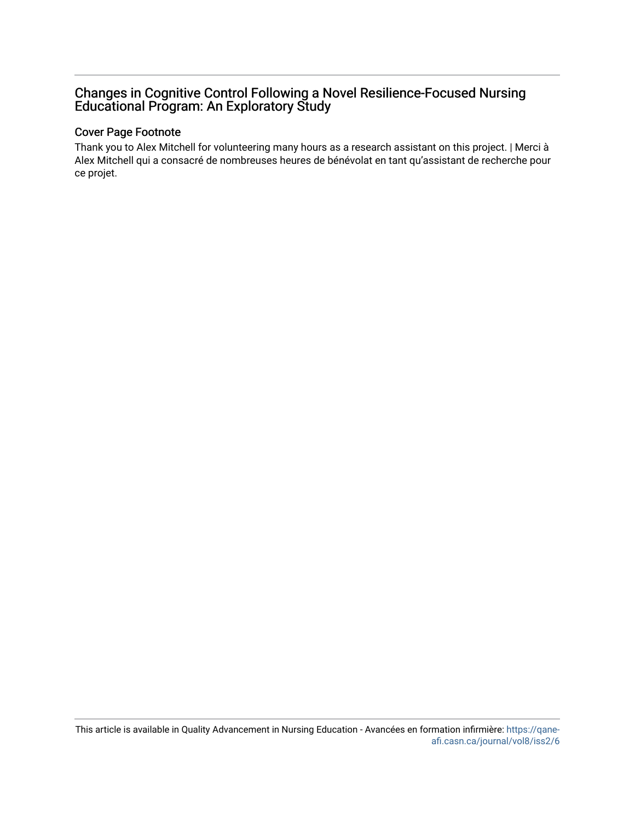# Changes in Cognitive Control Following a Novel Resilience-Focused Nursing Educational Program: An Exploratory Study

#### Cover Page Footnote

Thank you to Alex Mitchell for volunteering many hours as a research assistant on this project. | Merci à Alex Mitchell qui a consacré de nombreuses heures de bénévolat en tant qu'assistant de recherche pour ce projet.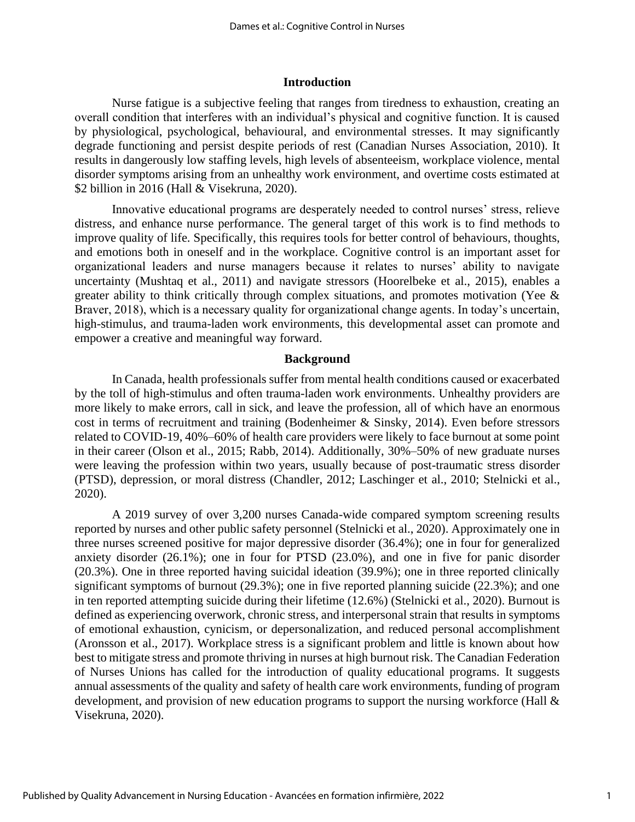#### **Introduction**

Nurse fatigue is a subjective feeling that ranges from tiredness to exhaustion, creating an overall condition that interferes with an individual's physical and cognitive function. It is caused by physiological, psychological, behavioural, and environmental stresses. It may significantly degrade functioning and persist despite periods of rest (Canadian Nurses Association, 2010). It results in dangerously low staffing levels, high levels of absenteeism, workplace violence, mental disorder symptoms arising from an unhealthy work environment, and overtime costs estimated at \$2 billion in 2016 (Hall & Visekruna, 2020).

Innovative educational programs are desperately needed to control nurses' stress, relieve distress, and enhance nurse performance. The general target of this work is to find methods to improve quality of life. Specifically, this requires tools for better control of behaviours, thoughts, and emotions both in oneself and in the workplace. Cognitive control is an important asset for organizational leaders and nurse managers because it relates to nurses' ability to navigate uncertainty (Mushtaq et al., 2011) and navigate stressors (Hoorelbeke et al., 2015), enables a greater ability to think critically through complex situations, and promotes motivation (Yee & Braver, 2018), which is a necessary quality for organizational change agents. In today's uncertain, high-stimulus, and trauma-laden work environments, this developmental asset can promote and empower a creative and meaningful way forward.

#### **Background**

In Canada, health professionals suffer from mental health conditions caused or exacerbated by the toll of high-stimulus and often trauma-laden work environments. Unhealthy providers are more likely to make errors, call in sick, and leave the profession, all of which have an enormous cost in terms of recruitment and training (Bodenheimer & Sinsky, 2014). Even before stressors related to COVID-19, 40%–60% of health care providers were likely to face burnout at some point in their career (Olson et al., 2015; Rabb, 2014). Additionally, 30%–50% of new graduate nurses were leaving the profession within two years, usually because of post-traumatic stress disorder (PTSD), depression, or moral distress (Chandler, 2012; Laschinger et al., 2010; Stelnicki et al., 2020).

A 2019 survey of over 3,200 nurses Canada-wide compared symptom screening results reported by nurses and other public safety personnel (Stelnicki et al., 2020). Approximately one in three nurses screened positive for major depressive disorder (36.4%); one in four for generalized anxiety disorder (26.1%); one in four for PTSD (23.0%), and one in five for panic disorder (20.3%). One in three reported having suicidal ideation (39.9%); one in three reported clinically significant symptoms of burnout (29.3%); one in five reported planning suicide (22.3%); and one in ten reported attempting suicide during their lifetime (12.6%) (Stelnicki et al., 2020). Burnout is defined as experiencing overwork, chronic stress, and interpersonal strain that results in symptoms of emotional exhaustion, cynicism, or depersonalization, and reduced personal accomplishment (Aronsson et al., 2017). Workplace stress is a significant problem and little is known about how best to mitigate stress and promote thriving in nurses at high burnout risk. The Canadian Federation of Nurses Unions has called for the introduction of quality educational programs. It suggests annual assessments of the quality and safety of health care work environments, funding of program development, and provision of new education programs to support the nursing workforce (Hall & Visekruna, 2020).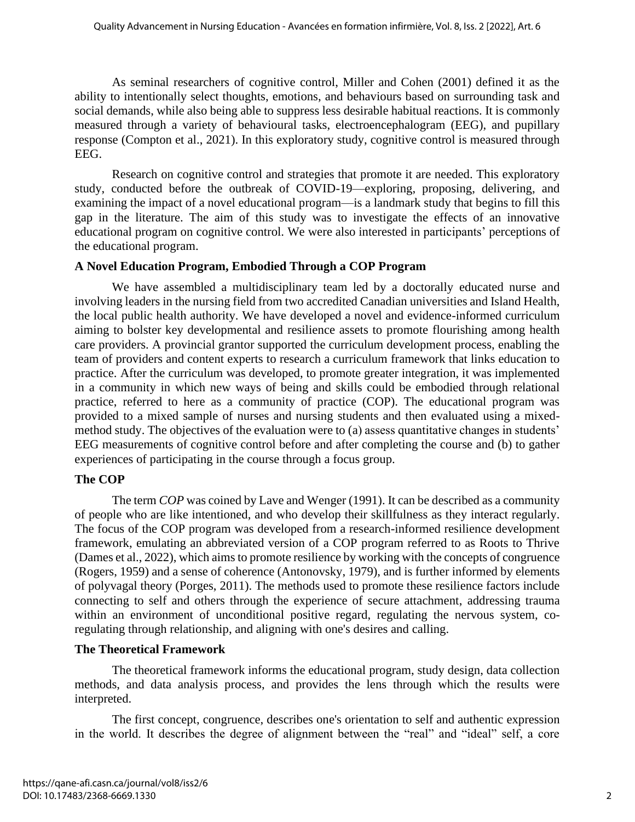As seminal researchers of cognitive control, Miller and Cohen (2001) defined it as the ability to intentionally select thoughts, emotions, and behaviours based on surrounding task and social demands, while also being able to suppress less desirable habitual reactions. It is commonly measured through a variety of behavioural tasks, electroencephalogram (EEG), and pupillary response (Compton et al., 2021). In this exploratory study, cognitive control is measured through EEG.

Research on cognitive control and strategies that promote it are needed. This exploratory study, conducted before the outbreak of COVID-19—exploring, proposing, delivering, and examining the impact of a novel educational program—is a landmark study that begins to fill this gap in the literature. The aim of this study was to investigate the effects of an innovative educational program on cognitive control. We were also interested in participants' perceptions of the educational program.

### **A Novel Education Program, Embodied Through a COP Program**

We have assembled a multidisciplinary team led by a doctorally educated nurse and involving leaders in the nursing field from two accredited Canadian universities and Island Health, the local public health authority. We have developed a novel and evidence-informed curriculum aiming to bolster key developmental and resilience assets to promote flourishing among health care providers. A provincial grantor supported the curriculum development process, enabling the team of providers and content experts to research a curriculum framework that links education to practice. After the curriculum was developed, to promote greater integration, it was implemented in a community in which new ways of being and skills could be embodied through relational practice, referred to here as a community of practice (COP). The educational program was provided to a mixed sample of nurses and nursing students and then evaluated using a mixedmethod study. The objectives of the evaluation were to (a) assess quantitative changes in students' EEG measurements of cognitive control before and after completing the course and (b) to gather experiences of participating in the course through a focus group.

# **The COP**

The term *COP* was coined by Lave and Wenger (1991). It can be described as a community of people who are like intentioned, and who develop their skillfulness as they interact regularly. The focus of the COP program was developed from a research-informed resilience development framework, emulating an abbreviated version of a COP program referred to as Roots to Thrive (Dames et al., 2022), which aims to promote resilience by working with the concepts of congruence (Rogers, 1959) and a sense of coherence (Antonovsky, 1979), and is further informed by elements of polyvagal theory (Porges, 2011). The methods used to promote these resilience factors include connecting to self and others through the experience of secure attachment, addressing trauma within an environment of unconditional positive regard, regulating the nervous system, coregulating through relationship, and aligning with one's desires and calling.

# **The Theoretical Framework**

The theoretical framework informs the educational program, study design, data collection methods, and data analysis process, and provides the lens through which the results were interpreted.

The first concept, congruence, describes one's orientation to self and authentic expression in the world. It describes the degree of alignment between the "real" and "ideal" self, a core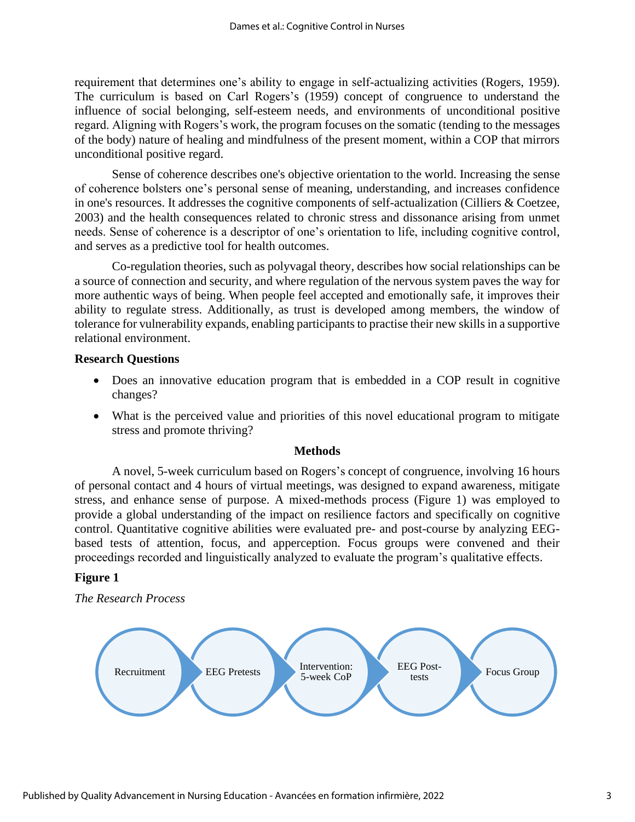requirement that determines one's ability to engage in self-actualizing activities (Rogers, 1959). The curriculum is based on Carl Rogers's (1959) concept of congruence to understand the influence of social belonging, self-esteem needs, and environments of unconditional positive regard. Aligning with Rogers's work, the program focuses on the somatic (tending to the messages of the body) nature of healing and mindfulness of the present moment, within a COP that mirrors unconditional positive regard.

Sense of coherence describes one's objective orientation to the world. Increasing the sense of coherence bolsters one's personal sense of meaning, understanding, and increases confidence in one's resources. It addresses the cognitive components of self-actualization (Cilliers & Coetzee, 2003) and the health consequences related to chronic stress and dissonance arising from unmet needs. Sense of coherence is a descriptor of one's orientation to life, including cognitive control, and serves as a predictive tool for health outcomes.

Co-regulation theories, such as polyvagal theory, describes how social relationships can be a source of connection and security, and where regulation of the nervous system paves the way for more authentic ways of being. When people feel accepted and emotionally safe, it improves their ability to regulate stress. Additionally, as trust is developed among members, the window of tolerance for vulnerability expands, enabling participants to practise their new skills in a supportive relational environment.

#### **Research Questions**

- Does an innovative education program that is embedded in a COP result in cognitive changes?
- What is the perceived value and priorities of this novel educational program to mitigate stress and promote thriving?

#### **Methods**

A novel, 5-week curriculum based on Rogers's concept of congruence, involving 16 hours of personal contact and 4 hours of virtual meetings, was designed to expand awareness, mitigate stress, and enhance sense of purpose. A mixed-methods process (Figure 1) was employed to provide a global understanding of the impact on resilience factors and specifically on cognitive control. Quantitative cognitive abilities were evaluated pre- and post-course by analyzing EEGbased tests of attention, focus, and apperception. Focus groups were convened and their proceedings recorded and linguistically analyzed to evaluate the program's qualitative effects.

#### **Figure 1**

*The Research Process*

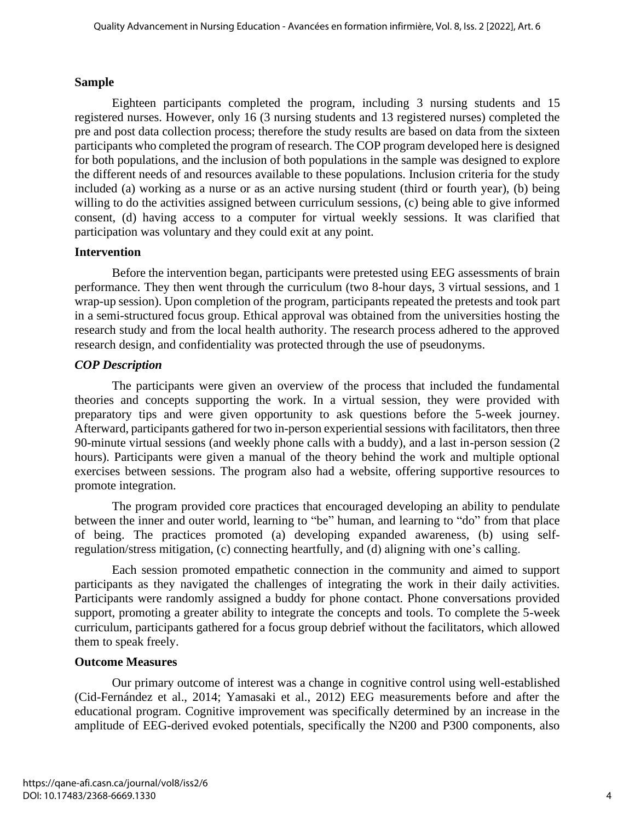#### **Sample**

Eighteen participants completed the program, including 3 nursing students and 15 registered nurses. However, only 16 (3 nursing students and 13 registered nurses) completed the pre and post data collection process; therefore the study results are based on data from the sixteen participants who completed the program of research. The COP program developed here is designed for both populations, and the inclusion of both populations in the sample was designed to explore the different needs of and resources available to these populations. Inclusion criteria for the study included (a) working as a nurse or as an active nursing student (third or fourth year), (b) being willing to do the activities assigned between curriculum sessions, (c) being able to give informed consent, (d) having access to a computer for virtual weekly sessions. It was clarified that participation was voluntary and they could exit at any point.

#### **Intervention**

Before the intervention began, participants were pretested using EEG assessments of brain performance. They then went through the curriculum (two 8-hour days, 3 virtual sessions, and 1 wrap-up session). Upon completion of the program, participants repeated the pretests and took part in a semi-structured focus group. Ethical approval was obtained from the universities hosting the research study and from the local health authority. The research process adhered to the approved research design, and confidentiality was protected through the use of pseudonyms.

### *COP Description*

The participants were given an overview of the process that included the fundamental theories and concepts supporting the work. In a virtual session, they were provided with preparatory tips and were given opportunity to ask questions before the 5-week journey. Afterward, participants gathered for two in-person experiential sessions with facilitators, then three 90-minute virtual sessions (and weekly phone calls with a buddy), and a last in-person session (2 hours). Participants were given a manual of the theory behind the work and multiple optional exercises between sessions. The program also had a website, offering supportive resources to promote integration.

The program provided core practices that encouraged developing an ability to pendulate between the inner and outer world, learning to "be" human, and learning to "do" from that place of being. The practices promoted (a) developing expanded awareness, (b) using selfregulation/stress mitigation, (c) connecting heartfully, and (d) aligning with one's calling.

Each session promoted empathetic connection in the community and aimed to support participants as they navigated the challenges of integrating the work in their daily activities. Participants were randomly assigned a buddy for phone contact. Phone conversations provided support, promoting a greater ability to integrate the concepts and tools. To complete the 5-week curriculum, participants gathered for a focus group debrief without the facilitators, which allowed them to speak freely.

#### **Outcome Measures**

Our primary outcome of interest was a change in cognitive control using well-established (Cid-Fernández et al., 2014; Yamasaki et al., 2012) EEG measurements before and after the educational program. Cognitive improvement was specifically determined by an increase in the amplitude of EEG-derived evoked potentials, specifically the N200 and P300 components, also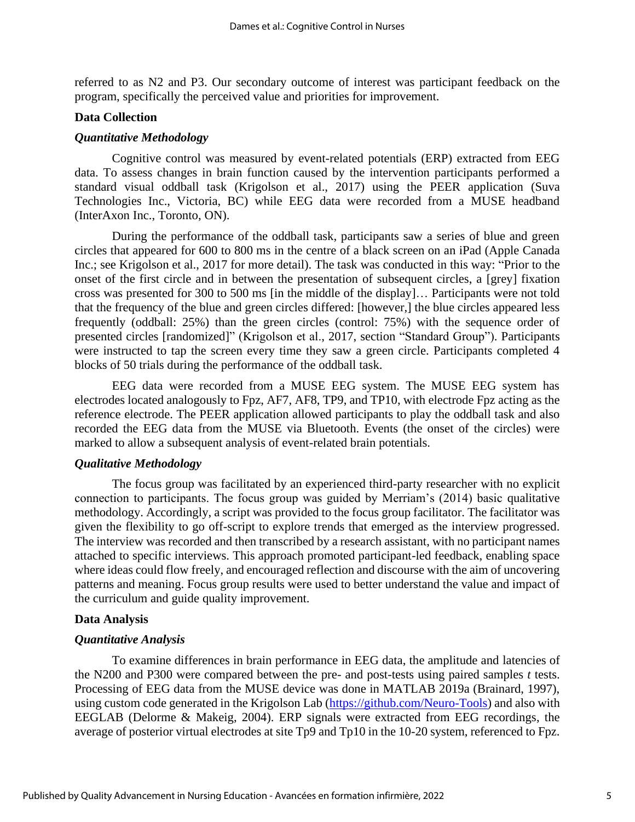referred to as N2 and P3. Our secondary outcome of interest was participant feedback on the program, specifically the perceived value and priorities for improvement.

#### **Data Collection**

#### *Quantitative Methodology*

Cognitive control was measured by event-related potentials (ERP) extracted from EEG data. To assess changes in brain function caused by the intervention participants performed a standard visual oddball task (Krigolson et al., 2017) using the PEER application (Suva Technologies Inc., Victoria, BC) while EEG data were recorded from a MUSE headband (InterAxon Inc., Toronto, ON).

During the performance of the oddball task, participants saw a series of blue and green circles that appeared for 600 to 800 ms in the centre of a black screen on an iPad (Apple Canada Inc.; see Krigolson et al., 2017 for more detail). The task was conducted in this way: "Prior to the onset of the first circle and in between the presentation of subsequent circles, a [grey] fixation cross was presented for 300 to 500 ms [in the middle of the display]… Participants were not told that the frequency of the blue and green circles differed: [however,] the blue circles appeared less frequently (oddball: 25%) than the green circles (control: 75%) with the sequence order of presented circles [randomized]" (Krigolson et al., 2017, section "Standard Group"). Participants were instructed to tap the screen every time they saw a green circle. Participants completed 4 blocks of 50 trials during the performance of the oddball task.

EEG data were recorded from a MUSE EEG system. The MUSE EEG system has electrodes located analogously to Fpz, AF7, AF8, TP9, and TP10, with electrode Fpz acting as the reference electrode. The PEER application allowed participants to play the oddball task and also recorded the EEG data from the MUSE via Bluetooth. Events (the onset of the circles) were marked to allow a subsequent analysis of event-related brain potentials.

#### *Qualitative Methodology*

The focus group was facilitated by an experienced third-party researcher with no explicit connection to participants. The focus group was guided by Merriam's (2014) basic qualitative methodology. Accordingly, a script was provided to the focus group facilitator. The facilitator was given the flexibility to go off-script to explore trends that emerged as the interview progressed. The interview was recorded and then transcribed by a research assistant, with no participant names attached to specific interviews. This approach promoted participant-led feedback, enabling space where ideas could flow freely, and encouraged reflection and discourse with the aim of uncovering patterns and meaning. Focus group results were used to better understand the value and impact of the curriculum and guide quality improvement.

#### **Data Analysis**

#### *Quantitative Analysis*

To examine differences in brain performance in EEG data, the amplitude and latencies of the N200 and P300 were compared between the pre- and post-tests using paired samples *t* tests. Processing of EEG data from the MUSE device was done in MATLAB 2019a (Brainard, 1997), using custom code generated in the Krigolson Lab (https://github.com/Neuro-Tools) and also with EEGLAB (Delorme & Makeig, 2004). ERP signals were extracted from EEG recordings, the average of posterior virtual electrodes at site Tp9 and Tp10 in the 10-20 system, referenced to Fpz.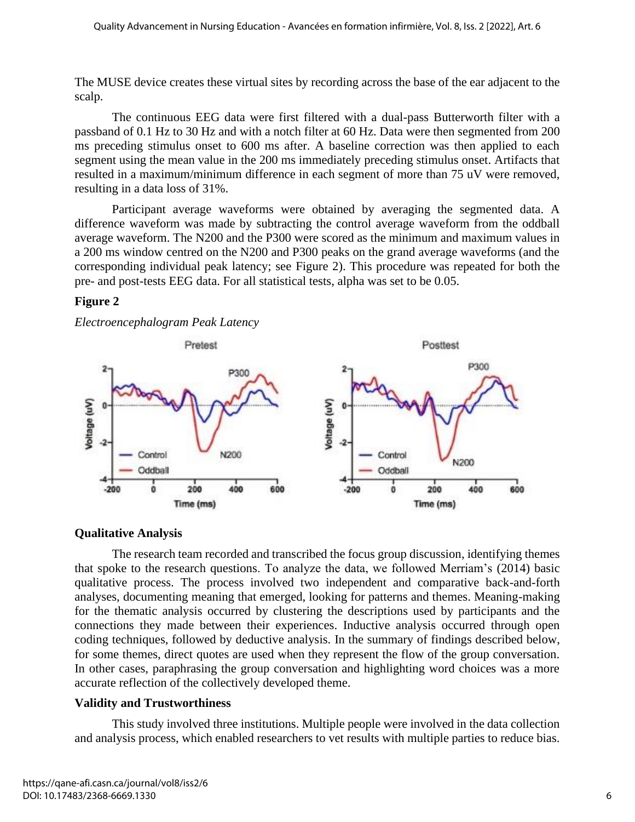The MUSE device creates these virtual sites by recording across the base of the ear adjacent to the scalp.

The continuous EEG data were first filtered with a dual-pass Butterworth filter with a passband of 0.1 Hz to 30 Hz and with a notch filter at 60 Hz. Data were then segmented from 200 ms preceding stimulus onset to 600 ms after. A baseline correction was then applied to each segment using the mean value in the 200 ms immediately preceding stimulus onset. Artifacts that resulted in a maximum/minimum difference in each segment of more than 75 uV were removed, resulting in a data loss of 31%.

Participant average waveforms were obtained by averaging the segmented data. A difference waveform was made by subtracting the control average waveform from the oddball average waveform. The N200 and the P300 were scored as the minimum and maximum values in a 200 ms window centred on the N200 and P300 peaks on the grand average waveforms (and the corresponding individual peak latency; see Figure 2). This procedure was repeated for both the pre- and post-tests EEG data. For all statistical tests, alpha was set to be 0.05.

# **Figure 2**

*Electroencephalogram Peak Latency*



# **Qualitative Analysis**

The research team recorded and transcribed the focus group discussion, identifying themes that spoke to the research questions. To analyze the data, we followed Merriam's (2014) basic qualitative process. The process involved two independent and comparative back-and-forth analyses, documenting meaning that emerged, looking for patterns and themes. Meaning-making for the thematic analysis occurred by clustering the descriptions used by participants and the connections they made between their experiences. Inductive analysis occurred through open coding techniques, followed by deductive analysis. In the summary of findings described below, for some themes, direct quotes are used when they represent the flow of the group conversation. In other cases, paraphrasing the group conversation and highlighting word choices was a more accurate reflection of the collectively developed theme.

# **Validity and Trustworthiness**

This study involved three institutions. Multiple people were involved in the data collection and analysis process, which enabled researchers to vet results with multiple parties to reduce bias.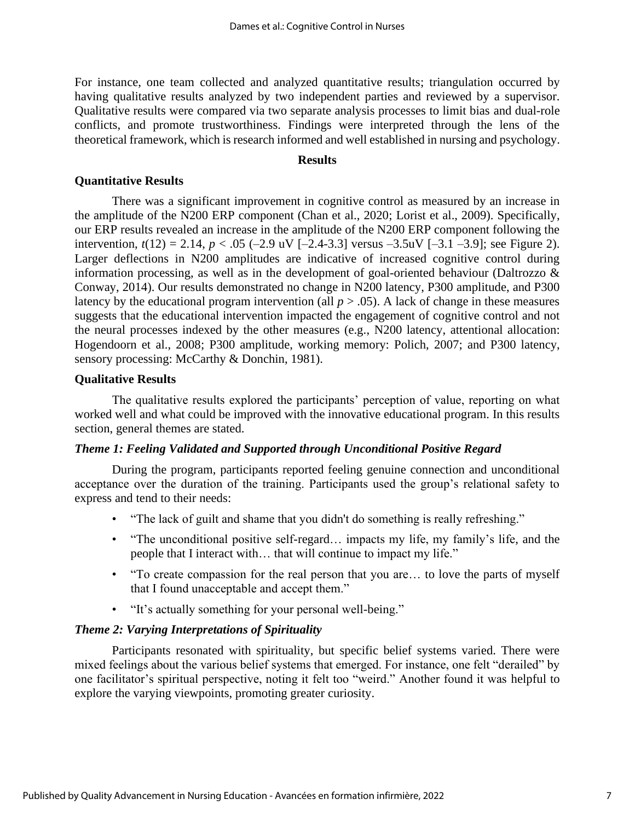For instance, one team collected and analyzed quantitative results; triangulation occurred by having qualitative results analyzed by two independent parties and reviewed by a supervisor. Qualitative results were compared via two separate analysis processes to limit bias and dual-role conflicts, and promote trustworthiness. Findings were interpreted through the lens of the theoretical framework, which is research informed and well established in nursing and psychology.

### **Results**

#### **Quantitative Results**

There was a significant improvement in cognitive control as measured by an increase in the amplitude of the N200 ERP component (Chan et al., 2020; Lorist et al., 2009). Specifically, our ERP results revealed an increase in the amplitude of the N200 ERP component following the intervention,  $t(12) = 2.14$ ,  $p < .05$  (-2.9 uV [-2.4-3.3] versus -3.5uV [-3.1 -3.9]; see Figure 2). Larger deflections in N200 amplitudes are indicative of increased cognitive control during information processing, as well as in the development of goal-oriented behaviour (Daltrozzo & Conway, 2014). Our results demonstrated no change in N200 latency, P300 amplitude, and P300 latency by the educational program intervention (all  $p > .05$ ). A lack of change in these measures suggests that the educational intervention impacted the engagement of cognitive control and not the neural processes indexed by the other measures (e.g., N200 latency, attentional allocation: Hogendoorn et al., 2008; P300 amplitude, working memory: Polich, 2007; and P300 latency, sensory processing: McCarthy & Donchin, 1981).

#### **Qualitative Results**

The qualitative results explored the participants' perception of value, reporting on what worked well and what could be improved with the innovative educational program. In this results section, general themes are stated.

#### *Theme 1: Feeling Validated and Supported through Unconditional Positive Regard*

During the program, participants reported feeling genuine connection and unconditional acceptance over the duration of the training. Participants used the group's relational safety to express and tend to their needs:

- "The lack of guilt and shame that you didn't do something is really refreshing."
- "The unconditional positive self-regard… impacts my life, my family's life, and the people that I interact with… that will continue to impact my life."
- "To create compassion for the real person that you are... to love the parts of myself that I found unacceptable and accept them."
- "It's actually something for your personal well-being."

#### *Theme 2: Varying Interpretations of Spirituality*

Participants resonated with spirituality, but specific belief systems varied. There were mixed feelings about the various belief systems that emerged. For instance, one felt "derailed" by one facilitator's spiritual perspective, noting it felt too "weird." Another found it was helpful to explore the varying viewpoints, promoting greater curiosity.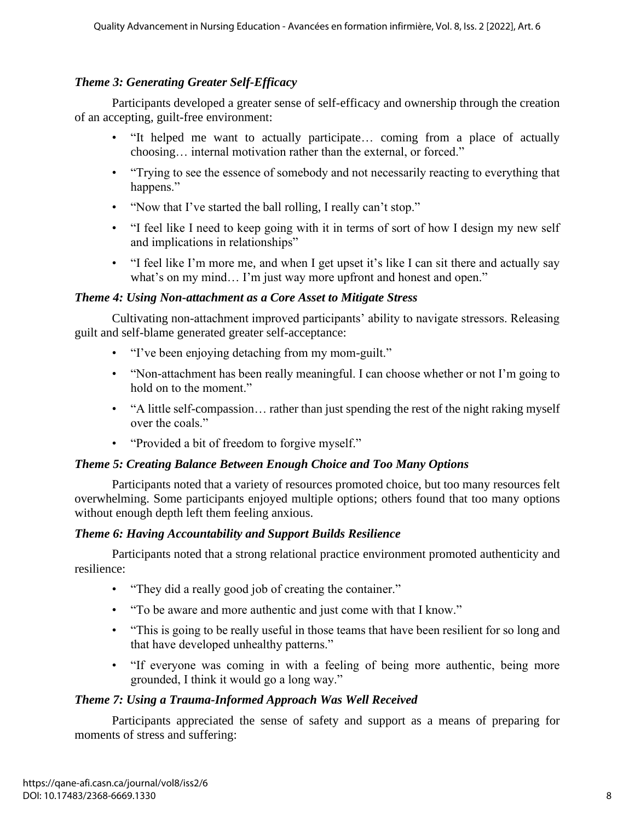# *Theme 3: Generating Greater Self-Efficacy*

Participants developed a greater sense of self-efficacy and ownership through the creation of an accepting, guilt-free environment:

- "It helped me want to actually participate… coming from a place of actually choosing… internal motivation rather than the external, or forced."
- "Trying to see the essence of somebody and not necessarily reacting to everything that happens."
- "Now that I've started the ball rolling, I really can't stop."
- "I feel like I need to keep going with it in terms of sort of how I design my new self and implications in relationships"
- "I feel like I'm more me, and when I get upset it's like I can sit there and actually say what's on my mind... I'm just way more upfront and honest and open."

# *Theme 4: Using Non-attachment as a Core Asset to Mitigate Stress*

Cultivating non-attachment improved participants' ability to navigate stressors. Releasing guilt and self-blame generated greater self-acceptance:

- "I've been enjoying detaching from my mom-guilt."
- "Non-attachment has been really meaningful. I can choose whether or not I'm going to hold on to the moment."
- "A little self-compassion... rather than just spending the rest of the night raking myself over the coals."
- "Provided a bit of freedom to forgive myself."

# *Theme 5: Creating Balance Between Enough Choice and Too Many Options*

Participants noted that a variety of resources promoted choice, but too many resources felt overwhelming. Some participants enjoyed multiple options; others found that too many options without enough depth left them feeling anxious.

# *Theme 6: Having Accountability and Support Builds Resilience*

Participants noted that a strong relational practice environment promoted authenticity and resilience:

- "They did a really good job of creating the container."
- "To be aware and more authentic and just come with that I know."
- "This is going to be really useful in those teams that have been resilient for so long and that have developed unhealthy patterns."
- "If everyone was coming in with a feeling of being more authentic, being more grounded, I think it would go a long way."

# *Theme 7: Using a Trauma-Informed Approach Was Well Received*

Participants appreciated the sense of safety and support as a means of preparing for moments of stress and suffering: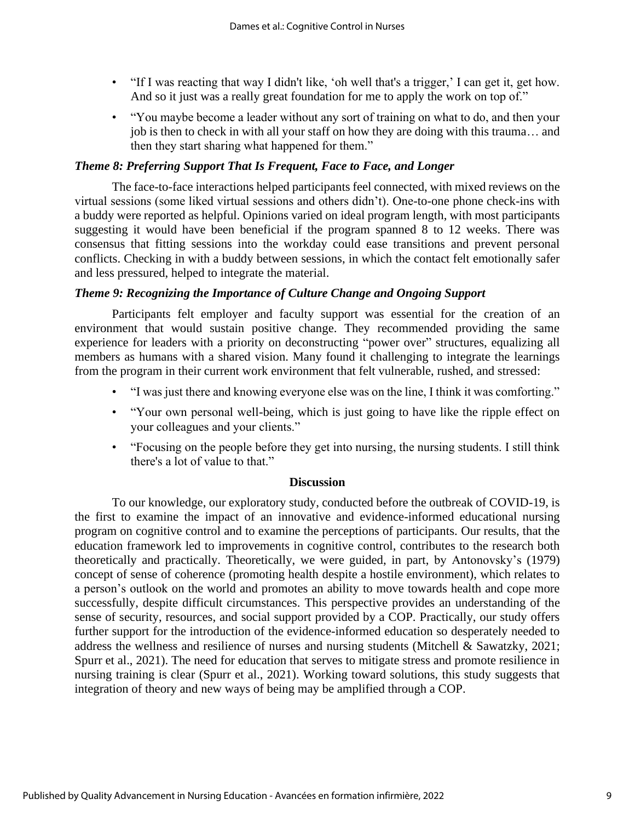- "If I was reacting that way I didn't like, 'oh well that's a trigger,' I can get it, get how. And so it just was a really great foundation for me to apply the work on top of."
- "You maybe become a leader without any sort of training on what to do, and then your job is then to check in with all your staff on how they are doing with this trauma… and then they start sharing what happened for them."

#### *Theme 8: Preferring Support That Is Frequent, Face to Face, and Longer*

The face-to-face interactions helped participants feel connected, with mixed reviews on the virtual sessions (some liked virtual sessions and others didn't). One-to-one phone check-ins with a buddy were reported as helpful. Opinions varied on ideal program length, with most participants suggesting it would have been beneficial if the program spanned 8 to 12 weeks. There was consensus that fitting sessions into the workday could ease transitions and prevent personal conflicts. Checking in with a buddy between sessions, in which the contact felt emotionally safer and less pressured, helped to integrate the material.

#### *Theme 9: Recognizing the Importance of Culture Change and Ongoing Support*

Participants felt employer and faculty support was essential for the creation of an environment that would sustain positive change. They recommended providing the same experience for leaders with a priority on deconstructing "power over" structures, equalizing all members as humans with a shared vision. Many found it challenging to integrate the learnings from the program in their current work environment that felt vulnerable, rushed, and stressed:

- "I was just there and knowing everyone else was on the line, I think it was comforting."
- "Your own personal well-being, which is just going to have like the ripple effect on your colleagues and your clients."
- "Focusing on the people before they get into nursing, the nursing students. I still think there's a lot of value to that."

#### **Discussion**

To our knowledge, our exploratory study, conducted before the outbreak of COVID-19, is the first to examine the impact of an innovative and evidence-informed educational nursing program on cognitive control and to examine the perceptions of participants. Our results, that the education framework led to improvements in cognitive control, contributes to the research both theoretically and practically. Theoretically, we were guided, in part, by Antonovsky's (1979) concept of sense of coherence (promoting health despite a hostile environment), which relates to a person's outlook on the world and promotes an ability to move towards health and cope more successfully, despite difficult circumstances. This perspective provides an understanding of the sense of security, resources, and social support provided by a COP. Practically, our study offers further support for the introduction of the evidence-informed education so desperately needed to address the wellness and resilience of nurses and nursing students (Mitchell & Sawatzky, 2021; Spurr et al., 2021). The need for education that serves to mitigate stress and promote resilience in nursing training is clear (Spurr et al., 2021). Working toward solutions, this study suggests that integration of theory and new ways of being may be amplified through a COP.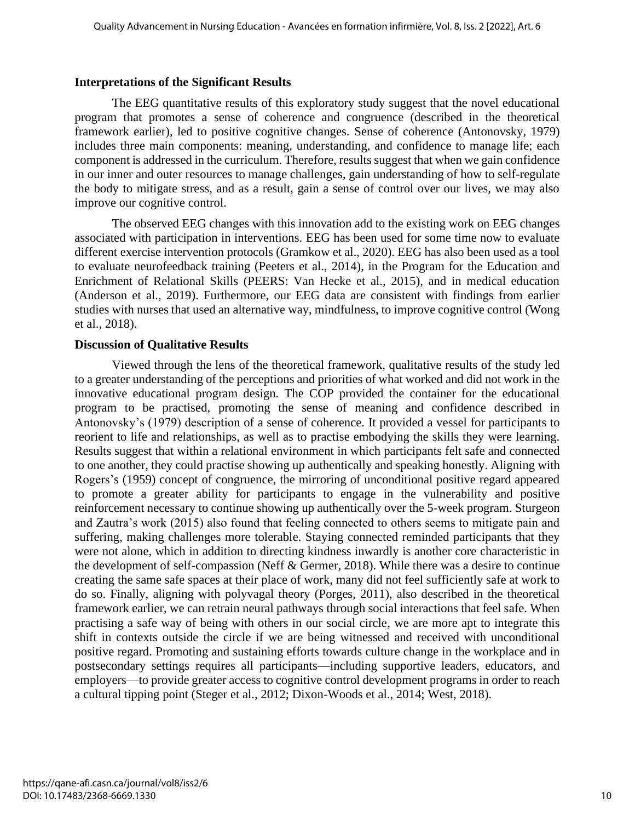#### **Interpretations of the Significant Results**

The EEG quantitative results of this exploratory study suggest that the novel educational program that promotes a sense of coherence and congruence (described in the theoretical framework earlier), led to positive cognitive changes. Sense of coherence (Antonovsky, 1979) includes three main components: meaning, understanding, and confidence to manage life; each component is addressed in the curriculum. Therefore, results suggest that when we gain confidence in our inner and outer resources to manage challenges, gain understanding of how to self-regulate the body to mitigate stress, and as a result, gain a sense of control over our lives, we may also improve our cognitive control.

The observed EEG changes with this innovation add to the existing work on EEG changes associated with participation in interventions. EEG has been used for some time now to evaluate different exercise intervention protocols (Gramkow et al., 2020). EEG has also been used as a tool to evaluate neurofeedback training (Peeters et al., 2014), in the Program for the Education and Enrichment of Relational Skills (PEERS: Van Hecke et al., 2015), and in medical education (Anderson et al., 2019). Furthermore, our EEG data are consistent with findings from earlier studies with nurses that used an alternative way, mindfulness, to improve cognitive control (Wong et al., 2018).

#### **Discussion of Qualitative Results**

Viewed through the lens of the theoretical framework, qualitative results of the study led to a greater understanding of the perceptions and priorities of what worked and did not work in the innovative educational program design. The COP provided the container for the educational program to be practised, promoting the sense of meaning and confidence described in Antonovsky's (1979) description of a sense of coherence. It provided a vessel for participants to reorient to life and relationships, as well as to practise embodying the skills they were learning. Results suggest that within a relational environment in which participants felt safe and connected to one another, they could practise showing up authentically and speaking honestly. Aligning with Rogers's (1959) concept of congruence, the mirroring of unconditional positive regard appeared to promote a greater ability for participants to engage in the vulnerability and positive reinforcement necessary to continue showing up authentically over the 5-week program. Sturgeon and Zautra's work (2015) also found that feeling connected to others seems to mitigate pain and suffering, making challenges more tolerable. Staying connected reminded participants that they were not alone, which in addition to directing kindness inwardly is another core characteristic in the development of self-compassion (Neff & Germer, 2018). While there was a desire to continue creating the same safe spaces at their place of work, many did not feel sufficiently safe at work to do so. Finally, aligning with polyvagal theory (Porges, 2011), also described in the theoretical framework earlier, we can retrain neural pathways through social interactions that feel safe. When practising a safe way of being with others in our social circle, we are more apt to integrate this shift in contexts outside the circle if we are being witnessed and received with unconditional positive regard. Promoting and sustaining efforts towards culture change in the workplace and in postsecondary settings requires all participants—including supportive leaders, educators, and employers—to provide greater access to cognitive control development programs in order to reach a cultural tipping point (Steger et al., 2012; Dixon-Woods et al., 2014; West, 2018).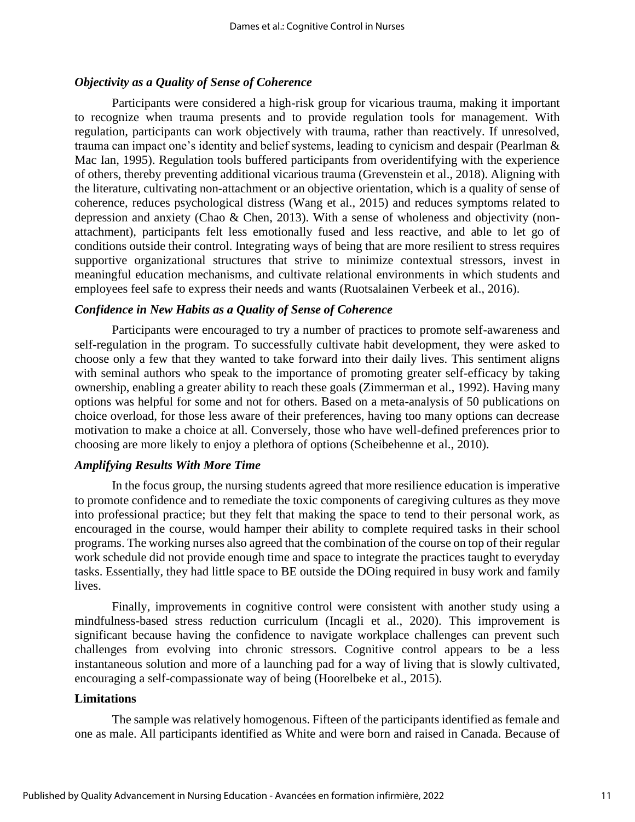#### *Objectivity as a Quality of Sense of Coherence*

Participants were considered a high-risk group for vicarious trauma, making it important to recognize when trauma presents and to provide regulation tools for management. With regulation, participants can work objectively with trauma, rather than reactively. If unresolved, trauma can impact one's identity and belief systems, leading to cynicism and despair (Pearlman & Mac Ian, 1995). Regulation tools buffered participants from overidentifying with the experience of others, thereby preventing additional vicarious trauma (Grevenstein et al., 2018). Aligning with the literature, cultivating non-attachment or an objective orientation, which is a quality of sense of coherence, reduces psychological distress (Wang et al., 2015) and reduces symptoms related to depression and anxiety (Chao & Chen, 2013). With a sense of wholeness and objectivity (nonattachment), participants felt less emotionally fused and less reactive, and able to let go of conditions outside their control. Integrating ways of being that are more resilient to stress requires supportive organizational structures that strive to minimize contextual stressors, invest in meaningful education mechanisms, and cultivate relational environments in which students and employees feel safe to express their needs and wants (Ruotsalainen Verbeek et al., 2016).

#### *Confidence in New Habits as a Quality of Sense of Coherence*

Participants were encouraged to try a number of practices to promote self-awareness and self-regulation in the program. To successfully cultivate habit development, they were asked to choose only a few that they wanted to take forward into their daily lives. This sentiment aligns with seminal authors who speak to the importance of promoting greater self-efficacy by taking ownership, enabling a greater ability to reach these goals (Zimmerman et al., 1992). Having many options was helpful for some and not for others. Based on a meta-analysis of 50 publications on choice overload, for those less aware of their preferences, having too many options can decrease motivation to make a choice at all. Conversely, those who have well-defined preferences prior to choosing are more likely to enjoy a plethora of options (Scheibehenne et al., 2010).

#### *Amplifying Results With More Time*

In the focus group, the nursing students agreed that more resilience education is imperative to promote confidence and to remediate the toxic components of caregiving cultures as they move into professional practice; but they felt that making the space to tend to their personal work, as encouraged in the course, would hamper their ability to complete required tasks in their school programs. The working nurses also agreed that the combination of the course on top of their regular work schedule did not provide enough time and space to integrate the practices taught to everyday tasks. Essentially, they had little space to BE outside the DOing required in busy work and family lives.

Finally, improvements in cognitive control were consistent with another study using a mindfulness-based stress reduction curriculum (Incagli et al., 2020). This improvement is significant because having the confidence to navigate workplace challenges can prevent such challenges from evolving into chronic stressors. Cognitive control appears to be a less instantaneous solution and more of a launching pad for a way of living that is slowly cultivated, encouraging a self-compassionate way of being (Hoorelbeke et al., 2015).

#### **Limitations**

The sample was relatively homogenous. Fifteen of the participants identified as female and one as male. All participants identified as White and were born and raised in Canada. Because of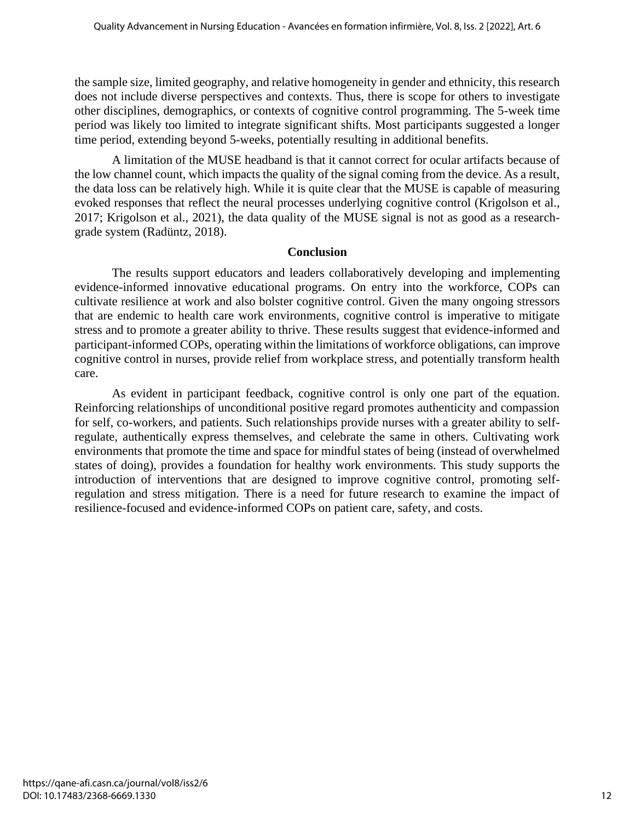the sample size, limited geography, and relative homogeneity in gender and ethnicity, this research does not include diverse perspectives and contexts. Thus, there is scope for others to investigate other disciplines, demographics, or contexts of cognitive control programming. The 5-week time period was likely too limited to integrate significant shifts. Most participants suggested a longer time period, extending beyond 5-weeks, potentially resulting in additional benefits.

A limitation of the MUSE headband is that it cannot correct for ocular artifacts because of the low channel count, which impacts the quality of the signal coming from the device. As a result, the data loss can be relatively high. While it is quite clear that the MUSE is capable of measuring evoked responses that reflect the neural processes underlying cognitive control (Krigolson et al., 2017; Krigolson et al., 2021), the data quality of the MUSE signal is not as good as a researchgrade system (Radüntz, 2018).

#### **Conclusion**

The results support educators and leaders collaboratively developing and implementing evidence-informed innovative educational programs. On entry into the workforce, COPs can cultivate resilience at work and also bolster cognitive control. Given the many ongoing stressors that are endemic to health care work environments, cognitive control is imperative to mitigate stress and to promote a greater ability to thrive. These results suggest that evidence-informed and participant-informed COPs, operating within the limitations of workforce obligations, can improve cognitive control in nurses, provide relief from workplace stress, and potentially transform health care.

As evident in participant feedback, cognitive control is only one part of the equation. Reinforcing relationships of unconditional positive regard promotes authenticity and compassion for self, co-workers, and patients. Such relationships provide nurses with a greater ability to selfregulate, authentically express themselves, and celebrate the same in others. Cultivating work environments that promote the time and space for mindful states of being (instead of overwhelmed states of doing), provides a foundation for healthy work environments. This study supports the introduction of interventions that are designed to improve cognitive control, promoting selfregulation and stress mitigation. There is a need for future research to examine the impact of resilience-focused and evidence-informed COPs on patient care, safety, and costs.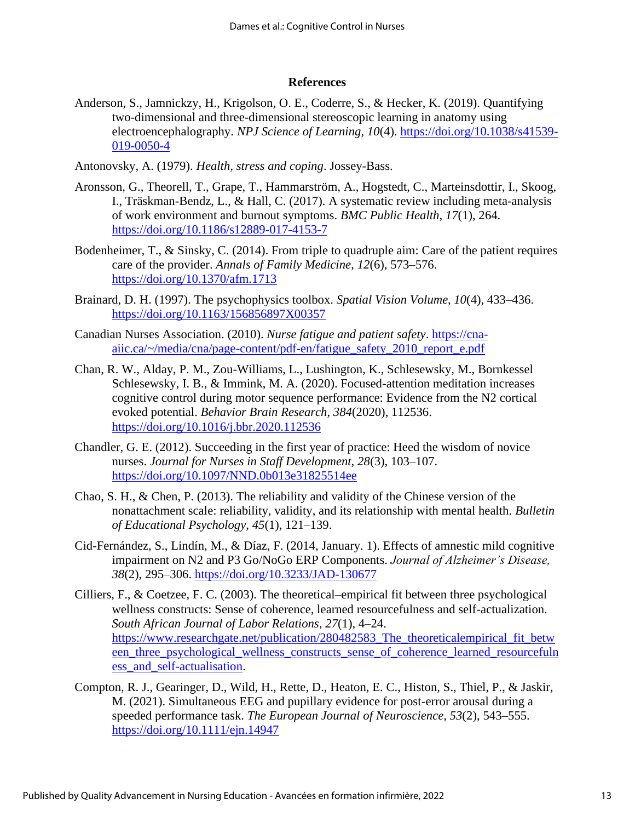#### **References**

Anderson, S., Jamnickzy, H., Krigolson, O. E., Coderre, S., & Hecker, K. (2019). Quantifying two-dimensional and three-dimensional stereoscopic learning in anatomy using electroencephalography. *NPJ Science of Learning, 10*(4). https://doi.org/10.1038/s41539- 019-0050-4

Antonovsky, A. (1979). *Health, stress and coping*. Jossey-Bass.

- Aronsson, G., Theorell, T., Grape, T., Hammarström, A., Hogstedt, C., Marteinsdottir, I., Skoog, I., Träskman-Bendz, L., & Hall, C. (2017). A systematic review including meta-analysis of work environment and burnout symptoms. *BMC Public Health*, *17*(1), 264. https://doi.org/10.1186/s12889-017-4153-7
- Bodenheimer, T., & Sinsky, C. (2014). From triple to quadruple aim: Care of the patient requires care of the provider. *Annals of Family Medicine*, *12*(6), 573–576. https://doi.org/10.1370/afm.1713
- Brainard, D. H. (1997). The psychophysics toolbox. *Spatial Vision Volume, 10*(4), 433–436. https://doi.org/10.1163/156856897X00357
- Canadian Nurses Association. (2010). *Nurse fatigue and patient safety*. https://cnaaiic.ca/~/media/cna/page-content/pdf-en/fatigue\_safety\_2010\_report\_e.pdf
- Chan, R. W., Alday, P. M., Zou-Williams, L., Lushington, K., Schlesewsky, M., Bornkessel Schlesewsky, I. B., & Immink, M. A. (2020). Focused-attention meditation increases cognitive control during motor sequence performance: Evidence from the N2 cortical evoked potential. *Behavior Brain Research, 384*(2020), 112536. https://doi.org/10.1016/j.bbr.2020.112536
- Chandler, G. E. (2012). Succeeding in the first year of practice: Heed the wisdom of novice nurses. *Journal for Nurses in Staff Development, 28*(3), 103–107. https://doi.org/10.1097/NND.0b013e31825514ee
- Chao, S. H., & Chen, P. (2013). The reliability and validity of the Chinese version of the nonattachment scale: reliability, validity, and its relationship with mental health. *Bulletin of Educational Psychology, 45*(1), 121–139.
- Cid-Fernández, S., Lindín, M., & Díaz, F. (2014, January. 1). Effects of amnestic mild cognitive impairment on N2 and P3 Go/NoGo ERP Components. *Journal of Alzheimer's Disease, 38*(2), 295–306. https://doi.org/10.3233/JAD-130677
- Cilliers, F., & Coetzee, F. C. (2003). The theoretical–empirical fit between three psychological wellness constructs: Sense of coherence, learned resourcefulness and self-actualization. *South African Journal of Labor Relations*, *27*(1), 4–24. https://www.researchgate.net/publication/280482583 The theoreticalempirical fit betw een three psychological wellness constructs sense of coherence learned resourcefuln ess\_and\_self-actualisation.
- Compton, R. J., Gearinger, D., Wild, H., Rette, D., Heaton, E. C., Histon, S., Thiel, P., & Jaskir, M. (2021). Simultaneous EEG and pupillary evidence for post-error arousal during a speeded performance task. *The European Journal of Neuroscience, 53*(2), 543–555. https://doi.org/10.1111/ejn.14947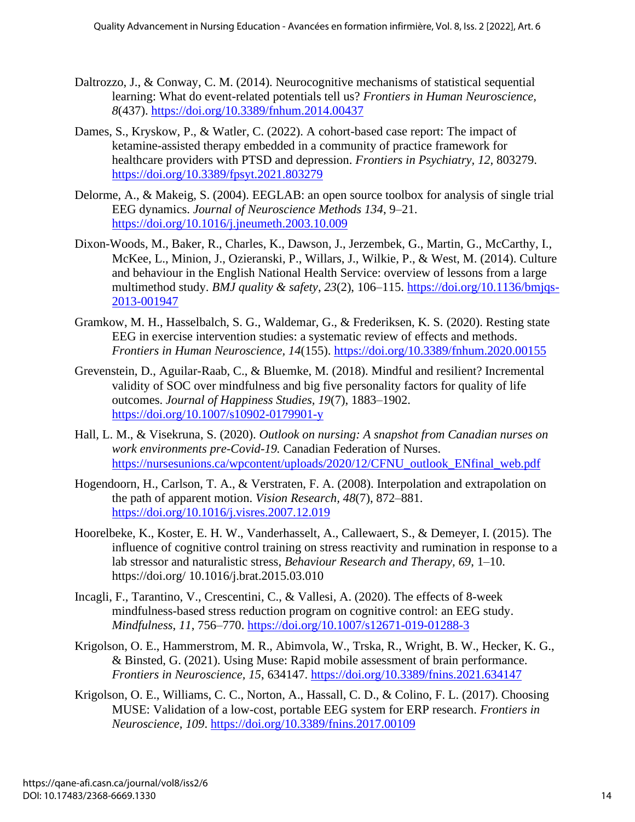- Daltrozzo, J., & Conway, C. M. (2014). Neurocognitive mechanisms of statistical sequential learning: What do event-related potentials tell us? *Frontiers in Human Neuroscience, 8*(437). https://doi.org/10.3389/fnhum.2014.00437
- Dames, S., Kryskow, P., & Watler, C. (2022). A cohort-based case report: The impact of ketamine-assisted therapy embedded in a community of practice framework for healthcare providers with PTSD and depression. *Frontiers in Psychiatry, 12,* 803279. https://doi.org/10.3389/fpsyt.2021.803279
- Delorme, A., & Makeig, S. (2004). EEGLAB: an open source toolbox for analysis of single trial EEG dynamics. *Journal of Neuroscience Methods 134*, 9–21. https://doi.org/10.1016/j.jneumeth.2003.10.009
- Dixon-Woods, M., Baker, R., Charles, K., Dawson, J., Jerzembek, G., Martin, G., McCarthy, I., McKee, L., Minion, J., Ozieranski, P., Willars, J., Wilkie, P., & West, M. (2014). Culture and behaviour in the English National Health Service: overview of lessons from a large multimethod study. *BMJ quality & safety*, *23*(2), 106–115. [https://doi.org/10.1136/bmjqs-](https://doi.org/10.1136/bmjqs-2013-001947)[2013-001947](https://doi.org/10.1136/bmjqs-2013-001947)
- Gramkow, M. H., Hasselbalch, S. G., Waldemar, G., & Frederiksen, K. S. (2020). Resting state EEG in exercise intervention studies: a systematic review of effects and methods. *Frontiers in Human Neuroscience, 14*(155). https://doi.org/10.3389/fnhum.2020.00155
- Grevenstein, D., Aguilar-Raab, C., & Bluemke, M. (2018). Mindful and resilient? Incremental validity of SOC over mindfulness and big five personality factors for quality of life outcomes. *Journal of Happiness Studies, 19*(7), 1883–1902. https://doi.org/10.1007/s10902-0179901-y
- Hall, L. M., & Visekruna, S. (2020). *Outlook on nursing: A snapshot from Canadian nurses on work environments pre-Covid-19.* Canadian Federation of Nurses. https://nursesunions.ca/wpcontent/uploads/2020/12/CFNU\_outlook\_ENfinal\_web.pdf
- Hogendoorn, H., Carlson, T. A., & Verstraten, F. A. (2008). Interpolation and extrapolation on the path of apparent motion. *Vision Research, 48*(7), 872–881. https://doi.org/10.1016/j.visres.2007.12.019
- Hoorelbeke, K., Koster, E. H. W., Vanderhasselt, A., Callewaert, S., & Demeyer, I. (2015). The influence of cognitive control training on stress reactivity and rumination in response to a lab stressor and naturalistic stress, *Behaviour Research and Therapy, 69*, 1–10. https://doi.org/ 10.1016/j.brat.2015.03.010
- Incagli, F., Tarantino, V., Crescentini, C., & Vallesi, A. (2020). The effects of 8-week mindfulness-based stress reduction program on cognitive control: an EEG study. *Mindfulness*, *11*, 756–770. <https://doi.org/10.1007/s12671-019-01288-3>
- Krigolson, O. E., Hammerstrom, M. R., Abimvola, W., Trska, R., Wright, B. W., Hecker, K. G., & Binsted, G. (2021). Using Muse: Rapid mobile assessment of brain performance. *Frontiers in Neuroscience, 15*, 634147. https://doi.org/10.3389/fnins.2021.634147
- Krigolson, O. E., Williams, C. C., Norton, A., Hassall, C. D., & Colino, F. L. (2017). Choosing MUSE: Validation of a low-cost, portable EEG system for ERP research. *Frontiers in Neuroscience, 109*. https://doi.org/10.3389/fnins.2017.00109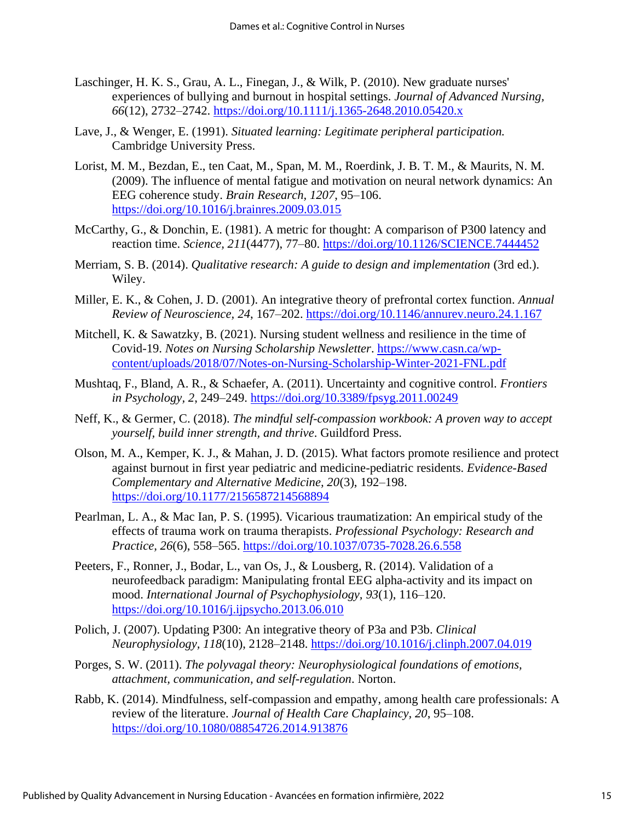- Laschinger, H. K. S., Grau, A. L., Finegan, J., & Wilk, P. (2010). New graduate nurses' experiences of bullying and burnout in hospital settings. *Journal of Advanced Nursing, 66*(12), 2732–2742. https://doi.org/10.1111/j.1365-2648.2010.05420.x
- Lave, J., & Wenger, E. (1991). *Situated learning: Legitimate peripheral participation.*  Cambridge University Press.
- Lorist, M. M., Bezdan, E., ten Caat, M., Span, M. M., Roerdink, J. B. T. M., & Maurits, N. M. (2009). The influence of mental fatigue and motivation on neural network dynamics: An EEG coherence study. *Brain Research, 1207*, 95–106. https://doi.org/10.1016/j.brainres.2009.03.015
- McCarthy, G., & Donchin, E. (1981). A metric for thought: A comparison of P300 latency and reaction time. *Science, 211*(4477), 77–80. https://doi.org/10.1126/SCIENCE.7444452
- Merriam, S. B. (2014). *Qualitative research: A guide to design and implementation* (3rd ed.). Wiley.
- Miller, E. K., & Cohen, J. D. (2001). An integrative theory of prefrontal cortex function. *Annual Review of Neuroscience, 24*, 167–202. https://doi.org/10.1146/annurev.neuro.24.1.167
- Mitchell, K. & Sawatzky, B. (2021). Nursing student wellness and resilience in the time of Covid-19. *Notes on Nursing Scholarship Newsletter*. [https://www.casn.ca/wp](https://www.casn.ca/wp-content/uploads/2018/07/Notes-on-Nursing-Scholarship-Winter-2021-FNL.pdf)[content/uploads/2018/07/Notes-on-Nursing-Scholarship-Winter-2021-FNL.pdf](https://www.casn.ca/wp-content/uploads/2018/07/Notes-on-Nursing-Scholarship-Winter-2021-FNL.pdf)
- Mushtaq, F., Bland, A. R., & Schaefer, A. (2011). Uncertainty and cognitive control. *Frontiers in Psychology, 2*, 249–249. https://doi.org/10.3389/fpsyg.2011.00249
- Neff, K., & Germer, C. (2018). *The mindful self-compassion workbook: A proven way to accept yourself, build inner strength, and thrive*. Guildford Press.
- Olson, M. A., Kemper, K. J., & Mahan, J. D. (2015). What factors promote resilience and protect against burnout in first year pediatric and medicine-pediatric residents. *Evidence-Based Complementary and Alternative Medicine, 20*(3), 192–198. https://doi.org/10.1177/2156587214568894
- Pearlman, L. A., & Mac Ian, P. S. (1995). Vicarious traumatization: An empirical study of the effects of trauma work on trauma therapists. *Professional Psychology: Research and Practice, 26*(6), 558–565. https://doi.org/10.1037/0735-7028.26.6.558
- Peeters, F., Ronner, J., Bodar, L., van Os, J., & Lousberg, R. (2014). Validation of a neurofeedback paradigm: Manipulating frontal EEG alpha-activity and its impact on mood. *International Journal of Psychophysiology, 93*(1), 116–120. https://doi.org/10.1016/j.ijpsycho.2013.06.010
- Polich, J. (2007). Updating P300: An integrative theory of P3a and P3b. *Clinical Neurophysiology, 118*(10), 2128–2148. https://doi.org/10.1016/j.clinph.2007.04.019
- Porges, S. W. (2011). *The polyvagal theory: Neurophysiological foundations of emotions, attachment, communication, and self-regulation*. Norton.
- Rabb, K. (2014). Mindfulness, self-compassion and empathy, among health care professionals: A review of the literature. *Journal of Health Care Chaplaincy, 20*, 95–108. https://doi.org/10.1080/08854726.2014.913876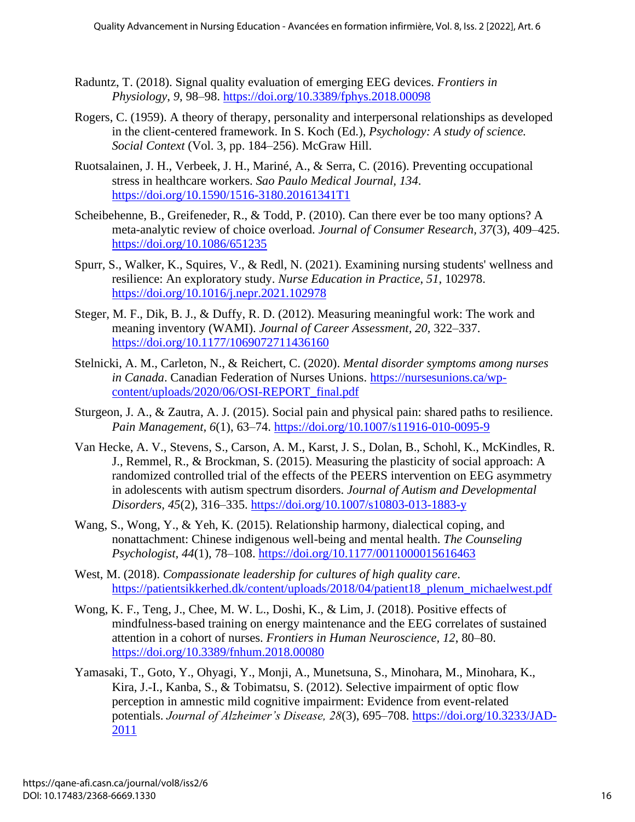- Raduntz, T. (2018). Signal quality evaluation of emerging EEG devices. *Frontiers in Physiology*, *9*, 98–98. https://doi.org/10.3389/fphys.2018.00098
- Rogers, C. (1959). A theory of therapy, personality and interpersonal relationships as developed in the client-centered framework. In S. Koch (Ed.), *Psychology: A study of science. Social Context* (Vol. 3, pp. 184–256). McGraw Hill.
- Ruotsalainen, J. H., Verbeek, J. H., Mariné, A., & Serra, C. (2016). Preventing occupational stress in healthcare workers. *Sao Paulo Medical Journal, 134*. https://doi.org/10.1590/1516-3180.20161341T1
- Scheibehenne, B., Greifeneder, R., & Todd, P. (2010). Can there ever be too many options? A meta-analytic review of choice overload. *Journal of Consumer Research, 37*(3), 409–425. https://doi.org/10.1086/651235
- Spurr, S., Walker, K., Squires, V., & Redl, N. (2021). Examining nursing students' wellness and resilience: An exploratory study. *Nurse Education in Practice*, *51*, 102978. https://doi.org/10.1016/j.nepr.2021.102978
- Steger, M. F., Dik, B. J., & Duffy, R. D. (2012). Measuring meaningful work: The work and meaning inventory (WAMI). *Journal of Career Assessment, 20,* 322–337. https://doi.org/10.1177/1069072711436160
- Stelnicki, A. M., Carleton, N., & Reichert, C. (2020). *Mental disorder symptoms among nurses in Canada*. Canadian Federation of Nurses Unions. https://nursesunions.ca/wpcontent/uploads/2020/06/OSI-REPORT\_final.pdf
- Sturgeon, J. A., & Zautra, A. J. (2015). Social pain and physical pain: shared paths to resilience. *Pain Management, 6*(1), 63–74. https://doi.org/10.1007/s11916-010-0095-9
- Van Hecke, A. V., Stevens, S., Carson, A. M., Karst, J. S., Dolan, B., Schohl, K., McKindles, R. J., Remmel, R., & Brockman, S. (2015). Measuring the plasticity of social approach: A randomized controlled trial of the effects of the PEERS intervention on EEG asymmetry in adolescents with autism spectrum disorders. *Journal of Autism and Developmental Disorders, 45*(2), 316–335. https://doi.org/10.1007/s10803-013-1883-y
- Wang, S., Wong, Y., & Yeh, K. (2015). Relationship harmony, dialectical coping, and nonattachment: Chinese indigenous well-being and mental health. *The Counseling Psychologist, 44*(1), 78–108. https://doi.org/10.1177/0011000015616463
- West, M. (2018). *Compassionate leadership for cultures of high quality care*. https://patientsikkerhed.dk/content/uploads/2018/04/patient18\_plenum\_michaelwest.pdf
- Wong, K. F., Teng, J., Chee, M. W. L., Doshi, K., & Lim, J. (2018). Positive effects of mindfulness-based training on energy maintenance and the EEG correlates of sustained attention in a cohort of nurses. *Frontiers in Human Neuroscience, 12*, 80–80. https://doi.org/10.3389/fnhum.2018.00080
- Yamasaki, T., Goto, Y., Ohyagi, Y., Monji, A., Munetsuna, S., Minohara, M., Minohara, K., Kira, J.-I., Kanba, S., & Tobimatsu, S. (2012). Selective impairment of optic flow perception in amnestic mild cognitive impairment: Evidence from event-related potentials. *Journal of Alzheimer's Disease, 28*(3), 695–708. https://doi.org/10.3233/JAD-2011